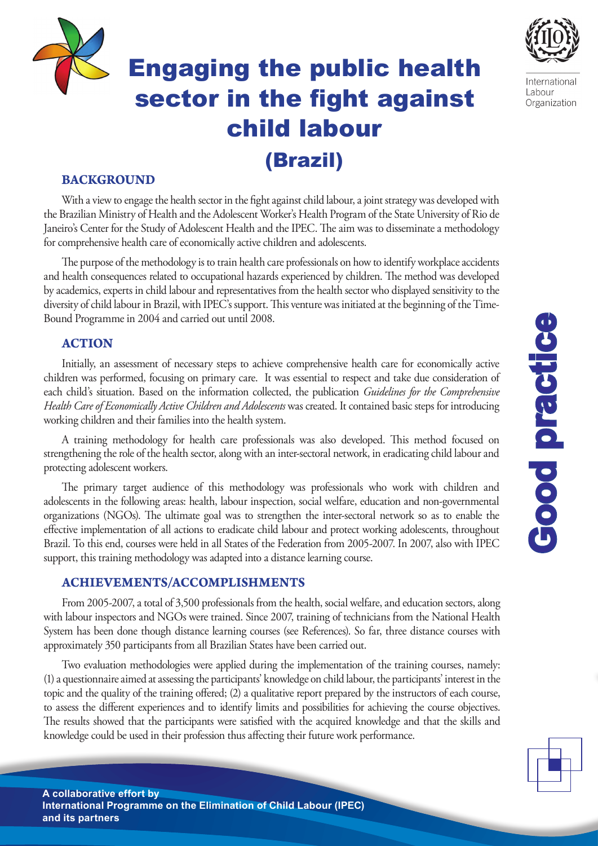# Engaging the public health sector in the fight against child labour (Brazil)



International Labour Organization

## **BACKGROUND**

With a view to engage the health sector in the fight against child labour, a joint strategy was developed with the Brazilian Ministry of Health and the Adolescent Worker's Health Program of the State University of Rio de Janeiro's Center for the Study of Adolescent Health and the IPEC. The aim was to disseminate a methodology for comprehensive health care of economically active children and adolescents.

The purpose of the methodology is to train health care professionals on how to identify workplace accidents and health consequences related to occupational hazards experienced by children. The method was developed by academics, experts in child labour and representatives from the health sector who displayed sensitivity to the diversity of child labour in Brazil, with IPEC's support. This venture was initiated at the beginning of the Time-Bound Programme in 2004 and carried out until 2008.

## **ACTION**

Initially, an assessment of necessary steps to achieve comprehensive health care for economically active children was performed, focusing on primary care. It was essential to respect and take due consideration of each child's situation. Based on the information collected, the publication *Guidelines for the Comprehensive Health Care of Economically Active Children and Adolescents* was created. It contained basic steps for introducing working children and their families into the health system.

A training methodology for health care professionals was also developed. This method focused on strengthening the role of the health sector, along with an inter-sectoral network, in eradicating child labour and protecting adolescent workers.

The primary target audience of this methodology was professionals who work with children and adolescents in the following areas: health, labour inspection, social welfare, education and non-governmental organizations (NGOs). The ultimate goal was to strengthen the inter-sectoral network so as to enable the effective implementation of all actions to eradicate child labour and protect working adolescents, throughout Brazil. To this end, courses were held in all States of the Federation from 2005-2007. In 2007, also with IPEC support, this training methodology was adapted into a distance learning course.

### **ACHIEVEMENTS/ACCOMPLISHMENTS**

From 2005-2007, a total of 3,500 professionals from the health, social welfare, and education sectors, along with labour inspectors and NGOs were trained. Since 2007, training of technicians from the National Health System has been done though distance learning courses (see References). So far, three distance courses with approximately 350 participants from all Brazilian States have been carried out.

Two evaluation methodologies were applied during the implementation of the training courses, namely: (1) a questionnaire aimed at assessing the participants' knowledge on child labour, the participants' interest in the topic and the quality of the training offered; (2) a qualitative report prepared by the instructors of each course, to assess the different experiences and to identify limits and possibilities for achieving the course objectives. The results showed that the participants were satisfied with the acquired knowledge and that the skills and knowledge could be used in their profession thus affecting their future work performance.